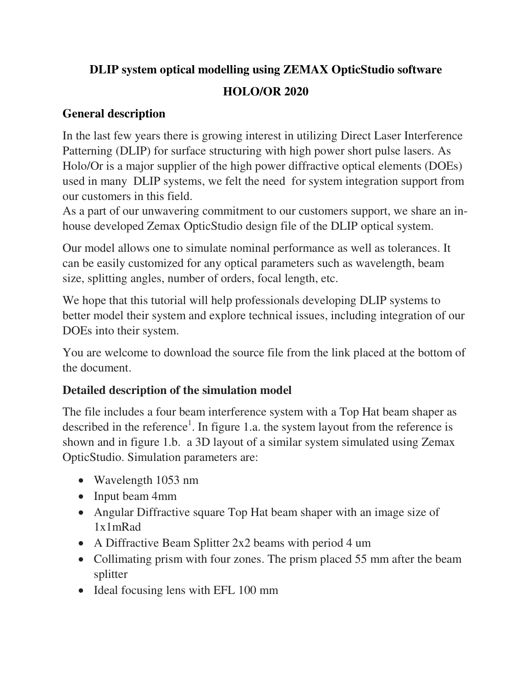# **DLIP system optical modelling using ZEMAX OpticStudio software**

## **HOLO/OR 2020**

## **General description**

In the last few years there is growing interest in utilizing Direct Laser Interference Patterning (DLIP) for surface structuring with high power short pulse lasers. As Holo/Or is a major supplier of the high power diffractive optical elements (DOEs) used in many DLIP systems, we felt the need for system integration support from our customers in this field.

As a part of our unwavering commitment to our customers support, we share an inhouse developed Zemax OpticStudio design file of the DLIP optical system.

Our model allows one to simulate nominal performance as well as tolerances. It can be easily customized for any optical parameters such as wavelength, beam size, splitting angles, number of orders, focal length, etc.

We hope that this tutorial will help professionals developing DLIP systems to better model their system and explore technical issues, including integration of our DOEs into their system.

You are welcome to download the source file from the link placed at the bottom of the document.

# **Detailed description of the simulation model**

The file includes a four beam interference system with a Top Hat beam shaper as described in the reference<sup>1</sup>. In figure 1.a. the system layout from the reference is shown and in figure 1.b. a 3D layout of a similar system simulated using Zemax OpticStudio. Simulation parameters are:

- Wavelength 1053 nm
- Input beam 4mm
- Angular Diffractive square Top Hat beam shaper with an image size of 1x1mRad
- A Diffractive Beam Splitter 2x2 beams with period 4 um
- Collimating prism with four zones. The prism placed 55 mm after the beam splitter
- Ideal focusing lens with EFL 100 mm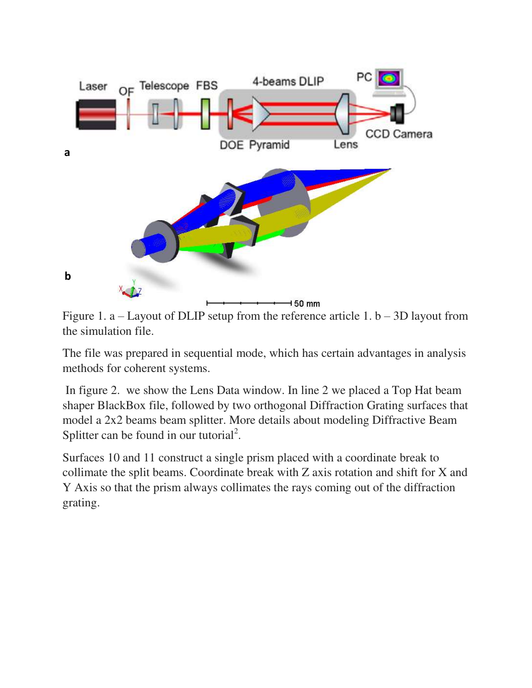

Figure 1. a – Layout of DLIP setup from the reference article 1.  $b - 3D$  layout from the simulation file.

The file was prepared in sequential mode, which has certain advantages in analysis methods for coherent systems.

 In figure 2. we show the Lens Data window. In line 2 we placed a Top Hat beam shaper BlackBox file, followed by two orthogonal Diffraction Grating surfaces that model a 2x2 beams beam splitter. More details about modeling Diffractive Beam Splitter can be found in our tutorial<sup>2</sup>.

Surfaces 10 and 11 construct a single prism placed with a coordinate break to collimate the split beams. Coordinate break with Z axis rotation and shift for X and Y Axis so that the prism always collimates the rays coming out of the diffraction grating.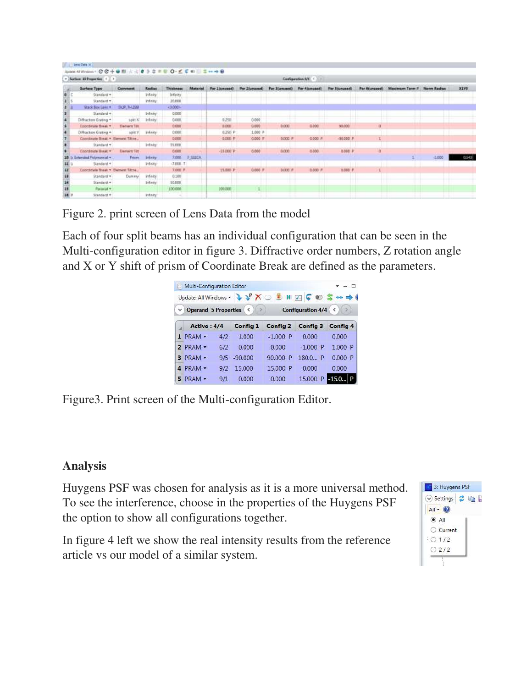|                | Lenis Cuita SC                                                        |                     |                 |                  |                 |                |           |                                            |                           |               |                         |                           |          |       |
|----------------|-----------------------------------------------------------------------|---------------------|-----------------|------------------|-----------------|----------------|-----------|--------------------------------------------|---------------------------|---------------|-------------------------|---------------------------|----------|-------|
|                | <b>Spook Al Website - CO+ON A A B B B B B B B C - C C B B E + + B</b> |                     |                 |                  |                 |                |           |                                            |                           |               |                         |                           |          |       |
|                | v Satiste Silvaporties: 1 [ 1]                                        |                     |                 |                  |                 |                |           |                                            | <b>Sanfiguration WELL</b> |               |                         |                           |          |       |
|                | Surface Type                                                          | Comment             | Radius          | <b>Thickness</b> | <b>Material</b> | Par literanesb |           | Par Ziunused) Par Eiunused) Par 4 (unused) |                           | Par Siunusadi | Par Biunupoch           | Moximum Term # Norm Redux |          | 3198  |
| 9<             | <b>Standard +</b>                                                     |                     | <b>Vrienty</b>  | infinity         |                 |                |           |                                            |                           |               |                         |                           |          |       |
| $1\,$ .        | Standard +                                                            |                     | Infinity:       | 30,000           |                 |                |           |                                            |                           |               |                         |                           |          |       |
| a,             | Black Box Levil *                                                     | DJP TH 283          |                 | 43,008+          |                 |                |           |                                            |                           |               |                         |                           |          |       |
| $\blacksquare$ | Standard +:                                                           |                     | Infinity:       | <b>BJ300</b>     |                 |                |           |                                            |                           |               |                         |                           |          |       |
| a.             | Diffraction Grating 4                                                 | spkt X              | <b>Infinity</b> | 0.000            |                 | 6258           | 0.000     |                                            |                           |               |                         |                           |          |       |
| ÷              | Concilitate fliesk v.                                                 | <b>Tierrent Tit</b> |                 | 0.000            |                 | 1000           | 0.000     | 0.000                                      | <b>BDDD</b>               | 90/000        | $\overline{\mathbf{u}}$ |                           |          |       |
| ٠              | Offisctor Guitra +                                                    | HORY.               | infinity.       | 0.000            |                 | 0.250 P        | 1.000 P   |                                            |                           |               |                         |                           |          |       |
|                | Condinate Bieac. . Element Titre                                      |                     |                 | <b>D.DOO</b>     |                 | 0.000 P        | $0.000 =$ | 0,000 F                                    | 0.000 P                   | $-30.005$     |                         |                           |          |       |
|                | Standard +1                                                           |                     | <b>Infinity</b> | 35,000           |                 |                |           |                                            |                           |               |                         |                           |          |       |
|                | Coordinate Black +                                                    | <b>Denwit Tit</b>   |                 | 0,000            |                 | $-55,000$ P    | 0.000     | 0.000                                      | -8000                     | 8.000 P       | ü                       |                           |          |       |
|                | tended Polynomial +.                                                  | Prium               | Intern          | 7,000            | F SHICA         |                |           |                                            |                           |               |                         |                           | $-1.000$ | 0.545 |
| <b>BED</b>     | Standard +                                                            |                     | Intern          | $-7,000$ . T     |                 |                |           |                                            |                           |               |                         |                           |          |       |
| 12             | Condities Breat + Demant Tittle                                       |                     |                 | 5,000 P          |                 | 15.500 P       | 0.000 F   | D.DOD #                                    | 0.000 P                   | $-0.000$      |                         |                           |          |       |
| 33.            | Standard +                                                            | Dunney              | <b>Vrisity</b>  | 0,100            |                 |                |           |                                            |                           |               |                         |                           |          |       |
| 14             | Standard +                                                            |                     | Infinity        | 30,000           |                 |                |           |                                            |                           |               |                         |                           |          |       |
| 18             | Paramat v                                                             |                     |                 | 100,000          |                 | 106.000        |           |                                            |                           |               |                         |                           |          |       |
| 16 11          | Standard +                                                            |                     | Infinity!       |                  |                 |                |           |                                            |                           |               |                         |                           |          |       |

Figure 2. print screen of Lens Data from the model

Each of four split beams has an individual configuration that can be seen in the Multi-configuration editor in figure 3. Diffractive order numbers, Z rotation angle and X or Y shift of prism of Coordinate Break are defined as the parameters.

|              | Multi-Configuration Editor |     |             |                                                  |                          | $ -$               |
|--------------|----------------------------|-----|-------------|--------------------------------------------------|--------------------------|--------------------|
|              |                            |     |             | Update: All Windows · V Y X O 3 M Z C O S ** - 0 |                          |                    |
| $\checkmark$ | Operand 5 Properties       |     | (∷>         |                                                  | <b>Configuration 4/4</b> | $\hat{\mathbf{v}}$ |
|              | Active: 4/4                |     | Config 1    | Config 2                                         | Config 3                 | <b>Config 4</b>    |
|              | $1$ PRAM $\sim$            | 4/2 | 1.000       | $-1.000$<br>р                                    | 0.000                    | 0.000              |
|              | $2$ PRAM $\sim$            | 6/2 | 0.000       | 0.000                                            | $-1.000$ P               | 1.000 P            |
|              | $3$ PRAM $\sim$            |     | 9/5 -90,000 | 90,000 P                                         | 180.0. P                 | 0.000P             |
|              | PRAM                       | 9/2 | 15,000      | $-15.000$ P                                      | 0.000                    | 0.000              |
|              | $PRAM -$                   | 9/1 | 0.000       | 0.000                                            | 15,000 P                 | $-15.0$            |

Figure3. Print screen of the Multi-configuration Editor.

### **Analysis**

Huygens PSF was chosen for analysis as it is a more universal method. To see the interference, choose in the properties of the Huygens PSF the option to show all configurations together.

In figure 4 left we show the real intensity results from the reference article vs our model of a similar system.

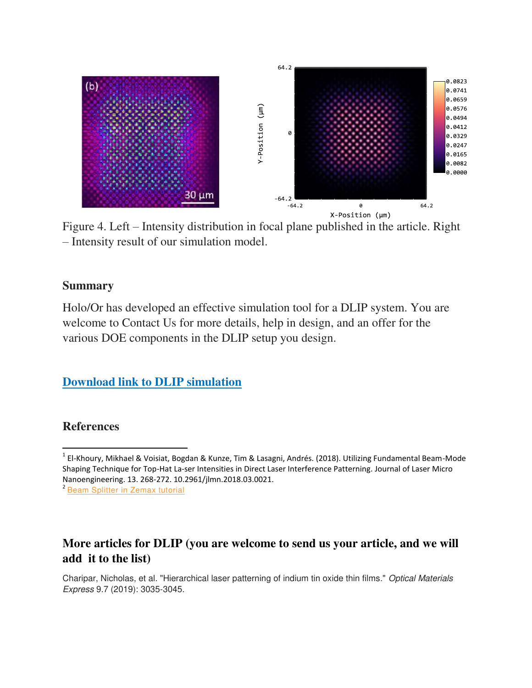

Figure 4. Left – Intensity distribution in focal plane published in the article. Right – Intensity result of our simulation model.

#### **Summary**

Holo/Or has developed an effective simulation tool for a DLIP system. You are welcome to Contact Us for more details, help in design, and an offer for the various DOE components in the DLIP setup you design.

**Download link to DLIP simulation** 

#### **References**

 $\overline{\phantom{0}}$ 

#### **More articles for DLIP (you are welcome to send us your article, and we will add it to the list)**

Charipar, Nicholas, et al. "Hierarchical laser patterning of indium tin oxide thin films." *Optical Materials Express* 9.7 (2019): 3035-3045.

<sup>&</sup>lt;sup>1</sup> El-Khoury, Mikhael & Voisiat, Bogdan & Kunze, Tim & Lasagni, Andrés. (2018). Utilizing Fundamental Beam-Mode Shaping Technique for Top-Hat La-ser Intensities in Direct Laser Interference Patterning. Journal of Laser Micro Nanoengineering. 13. 268-272. 10.2961/jlmn.2018.03.0021.

<sup>&</sup>lt;sup>2</sup> [Beam Splitter in Zemax tutorial](https://www.holoor.co.il/wp-content/uploads/2018/03/Beam-splitter-tutorial-for-Zemax.pdf?x94652)